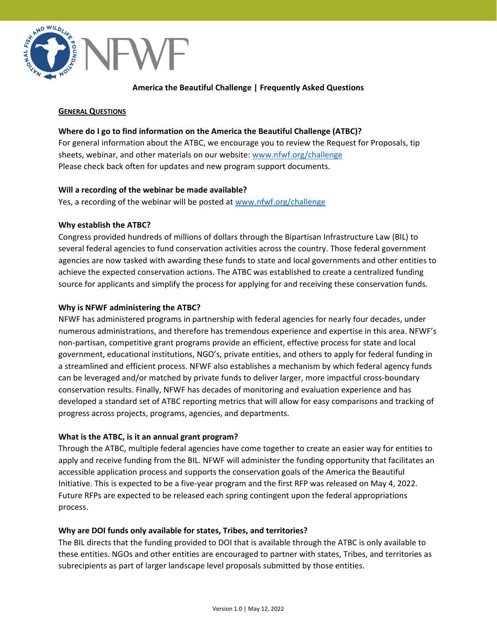

# **America the Beautiful Challenge | Frequently Asked Questions**

### **GENERAL QUESTIONS**

# **Where do I go to find information on the America the Beautiful Challenge (ATBC)?**

For general information about the ATBC, we encourage you to review the Request for Proposals, tip sheets, webinar, and other materials on our website: [www.nfwf.org/challenge](http://www.nfwf.org/challenge) Please check back often for updates and new program support documents.

## **Will a recording of the webinar be made available?**

Yes, a recording of the webinar will be posted at [www.nfwf.org/challenge](http://www.nfwf.org/challenge)

## **Why establish the ATBC?**

Congress provided hundreds of millions of dollars through the Bipartisan Infrastructure Law (BIL) to several federal agencies to fund conservation activities across the country. Those federal government agencies are now tasked with awarding these funds to state and local governments and other entities to achieve the expected conservation actions. The ATBC was established to create a centralized funding source for applicants and simplify the process for applying for and receiving these conservation funds.

## **Why is NFWF administering the ATBC?**

NFWF has administered programs in partnership with federal agencies for nearly four decades, under numerous administrations, and therefore has tremendous experience and expertise in this area. NFWF's non-partisan, competitive grant programs provide an efficient, effective process for state and local government, educational institutions, NGO's, private entities, and others to apply for federal funding in a streamlined and efficient process. NFWF also establishes a mechanism by which federal agency funds can be leveraged and/or matched by private funds to deliver larger, more impactful cross-boundary conservation results. Finally, NFWF has decades of monitoring and evaluation experience and has developed a standard set of ATBC reporting metrics that will allow for easy comparisons and tracking of progress across projects, programs, agencies, and departments.

# **What is the ATBC, is it an annual grant program?**

Through the ATBC, multiple federal agencies have come together to create an easier way for entities to apply and receive funding from the BIL. NFWF will administer the funding opportunity that facilitates an accessible application process and supports the conservation goals of the America the Beautiful Initiative. This is expected to be a five-year program and the first RFP was released on May 4, 2022. Future RFPs are expected to be released each spring contingent upon the federal appropriations process.

### **Why are DOI funds only available for states, Tribes, and territories?**

The BIL directs that the funding provided to DOI that is available through the ATBC is only available to these entities. NGOs and other entities are encouraged to partner with states, Tribes, and territories as subrecipients as part of larger landscape level proposals submitted by those entities.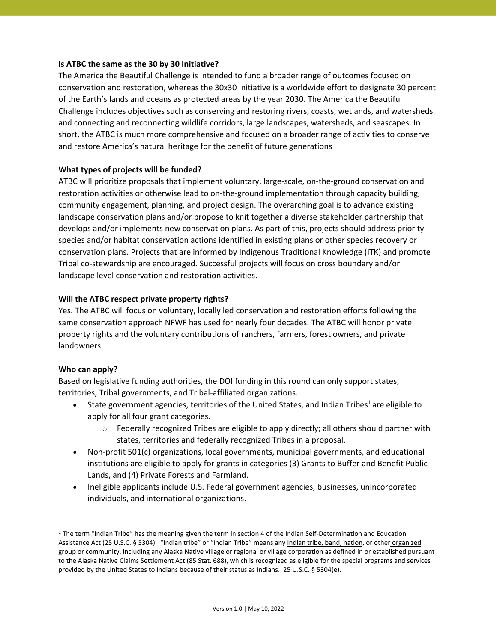## **Is ATBC the same as the 30 by 30 Initiative?**

The America the Beautiful Challenge is intended to fund a broader range of outcomes focused on conservation and restoration, whereas the 30x30 Initiative is a worldwide effort to designate 30 percent of the Earth's lands and oceans as protected areas by the year 2030. The America the Beautiful Challenge includes objectives such as conserving and restoring rivers, coasts, wetlands, and watersheds and connecting and reconnecting wildlife corridors, large landscapes, watersheds, and seascapes. In short, the ATBC is much more comprehensive and focused on a broader range of activities to conserve and restore America's natural heritage for the benefit of future generations

# **What types of projects will be funded?**

ATBC will prioritize proposals that implement voluntary, large-scale, on-the-ground conservation and restoration activities or otherwise lead to on-the-ground implementation through capacity building, community engagement, planning, and project design. The overarching goal is to advance existing landscape conservation plans and/or propose to knit together a diverse stakeholder partnership that develops and/or implements new conservation plans. As part of this, projects should address priority species and/or habitat conservation actions identified in existing plans or other species recovery or conservation plans. Projects that are informed by Indigenous Traditional Knowledge (ITK) and promote Tribal co-stewardship are encouraged. Successful projects will focus on cross boundary and/or landscape level conservation and restoration activities.

## **Will the ATBC respect private property rights?**

Yes. The ATBC will focus on voluntary, locally led conservation and restoration efforts following the same conservation approach NFWF has used for nearly four decades. The ATBC will honor private property rights and the voluntary contributions of ranchers, farmers, forest owners, and private landowners.

### **Who can apply?**

Based on legislative funding authorities, the DOI funding in this round can only support states, territories, Tribal governments, and Tribal-affiliated organizations.

- State government agencies, territories of the United States, and Indian Tribes<sup>1</sup> are eligible to apply for all four grant categories.
	- $\circ$  Federally recognized Tribes are eligible to apply directly; all others should partner with states, territories and federally recognized Tribes in a proposal.
- Non-profit 501(c) organizations, local governments, municipal governments, and educational institutions are eligible to apply for grants in categories (3) Grants to Buffer and Benefit Public Lands, and (4) Private Forests and Farmland.
- Ineligible applicants include U.S. Federal government agencies, businesses, unincorporated individuals, and international organizations.

<sup>&</sup>lt;sup>1</sup> The term "Indian Tribe" has the meaning given the term in section 4 of the Indian Self-Determination and Education Assistance Act (25 U.S.C. § 5304). "Indian tribe" or "Indian Tribe" means any Indian tribe, band, nation, or other organized group or community, including any Alaska Native village or regional or village corporation as defined in or established pursuant to the Alaska Native Claims Settlement Act (85 Stat. 688), which is recognized as eligible for the special programs and services provided by the United States to Indians because of their status as Indians. 25 U.S.C. § 5304(e).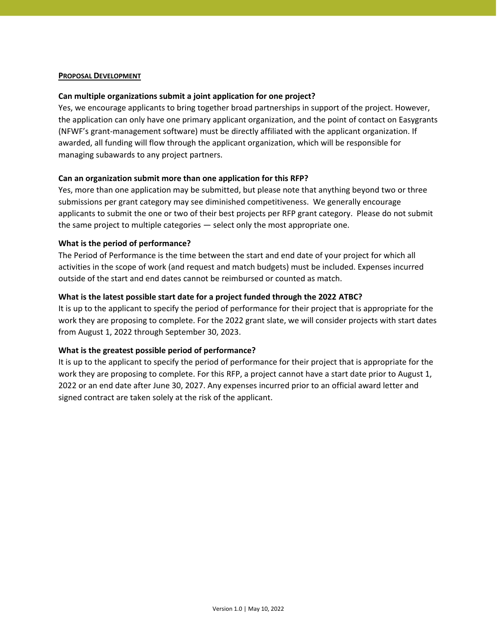### **PROPOSAL DEVELOPMENT**

## **Can multiple organizations submit a joint application for one project?**

Yes, we encourage applicants to bring together broad partnerships in support of the project. However, the application can only have one primary applicant organization, and the point of contact on Easygrants (NFWF's grant-management software) must be directly affiliated with the applicant organization. If awarded, all funding will flow through the applicant organization, which will be responsible for managing subawards to any project partners.

## **Can an organization submit more than one application for this RFP?**

Yes, more than one application may be submitted, but please note that anything beyond two or three submissions per grant category may see diminished competitiveness. We generally encourage applicants to submit the one or two of their best projects per RFP grant category. Please do not submit the same project to multiple categories — select only the most appropriate one.

### **What is the period of performance?**

The Period of Performance is the time between the start and end date of your project for which all activities in the scope of work (and request and match budgets) must be included. Expenses incurred outside of the start and end dates cannot be reimbursed or counted as match.

## **What is the latest possible start date for a project funded through the 2022 ATBC?**

It is up to the applicant to specify the period of performance for their project that is appropriate for the work they are proposing to complete. For the 2022 grant slate, we will consider projects with start dates from August 1, 2022 through September 30, 2023.

# **What is the greatest possible period of performance?**

It is up to the applicant to specify the period of performance for their project that is appropriate for the work they are proposing to complete. For this RFP, a project cannot have a start date prior to August 1, 2022 or an end date after June 30, 2027. Any expenses incurred prior to an official award letter and signed contract are taken solely at the risk of the applicant.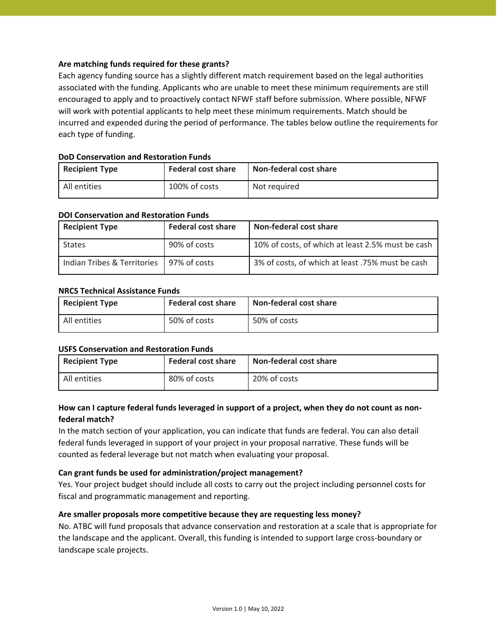# **Are matching funds required for these grants?**

Each agency funding source has a slightly different match requirement based on the legal authorities associated with the funding. Applicants who are unable to meet these minimum requirements are still encouraged to apply and to proactively contact NFWF staff before submission. Where possible, NFWF will work with potential applicants to help meet these minimum requirements. Match should be incurred and expended during the period of performance. The tables below outline the requirements for each type of funding.

| <b>Recipient Type</b> | <b>Federal cost share</b> | Non-federal cost share |
|-----------------------|---------------------------|------------------------|
| All entities          | 100% of costs             | Not required           |

# **DoD Conservation and Restoration Funds**

## **DOI Conservation and Restoration Funds**

| <b>Recipient Type</b>       | <b>Federal cost share</b> | Non-federal cost share                            |
|-----------------------------|---------------------------|---------------------------------------------------|
| States                      | 90% of costs              | 10% of costs, of which at least 2.5% must be cash |
| Indian Tribes & Territories | 97% of costs              | 3% of costs, of which at least .75% must be cash  |

## **NRCS Technical Assistance Funds**

| <b>Recipient Type</b> | <b>Federal cost share</b> | <b>Non-federal cost share</b> |
|-----------------------|---------------------------|-------------------------------|
| All entities          | 50% of costs              | 50% of costs                  |

### **USFS Conservation and Restoration Funds**

| <b>Recipient Type</b> | <b>Federal cost share</b> | <b>Non-federal cost share</b> |
|-----------------------|---------------------------|-------------------------------|
| All entities          | 80% of costs              | 20% of costs                  |

# **How can I capture federal funds leveraged in support of a project, when they do not count as nonfederal match?**

In the match section of your application, you can indicate that funds are federal. You can also detail federal funds leveraged in support of your project in your proposal narrative. These funds will be counted as federal leverage but not match when evaluating your proposal.

# **Can grant funds be used for administration/project management?**

Yes. Your project budget should include all costs to carry out the project including personnel costs for fiscal and programmatic management and reporting.

# **Are smaller proposals more competitive because they are requesting less money?**

No. ATBC will fund proposals that advance conservation and restoration at a scale that is appropriate for the landscape and the applicant. Overall, this funding is intended to support large cross-boundary or landscape scale projects.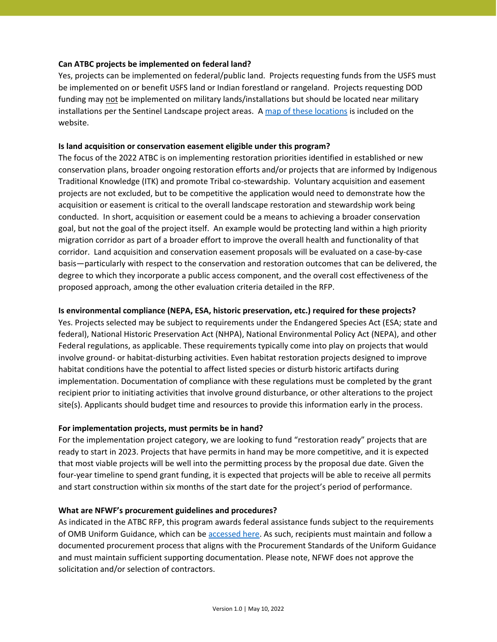## **Can ATBC projects be implemented on federal land?**

Yes, projects can be implemented on federal/public land. Projects requesting funds from the USFS must be implemented on or benefit USFS land or Indian forestland or rangeland. Projects requesting DOD funding may not be implemented on military lands/installations but should be located near military installations per the Sentinel Landscape project areas. [A map of these locations](https://www.nfwf.org/sites/default/files/2022-05/dod_sentinel_landscape_map.pdf) is included on the website.

### **Is land acquisition or conservation easement eligible under this program?**

The focus of the 2022 ATBC is on implementing restoration priorities identified in established or new conservation plans, broader ongoing restoration efforts and/or projects that are informed by Indigenous Traditional Knowledge (ITK) and promote Tribal co-stewardship. Voluntary acquisition and easement projects are not excluded, but to be competitive the application would need to demonstrate how the acquisition or easement is critical to the overall landscape restoration and stewardship work being conducted. In short, acquisition or easement could be a means to achieving a broader conservation goal, but not the goal of the project itself. An example would be protecting land within a high priority migration corridor as part of a broader effort to improve the overall health and functionality of that corridor. Land acquisition and conservation easement proposals will be evaluated on a case-by-case basis—particularly with respect to the conservation and restoration outcomes that can be delivered, the degree to which they incorporate a public access component, and the overall cost effectiveness of the proposed approach, among the other evaluation criteria detailed in the RFP.

# **Is environmental compliance (NEPA, ESA, historic preservation, etc.) required for these projects?**

Yes. Projects selected may be subject to requirements under the Endangered Species Act (ESA; state and federal), National Historic Preservation Act (NHPA), National Environmental Policy Act (NEPA), and other Federal regulations, as applicable. These requirements typically come into play on projects that would involve ground- or habitat-disturbing activities. Even habitat restoration projects designed to improve habitat conditions have the potential to affect listed species or disturb historic artifacts during implementation. Documentation of compliance with these regulations must be completed by the grant recipient prior to initiating activities that involve ground disturbance, or other alterations to the project site(s). Applicants should budget time and resources to provide this information early in the process.

# **For implementation projects, must permits be in hand?**

For the implementation project category, we are looking to fund "restoration ready" projects that are ready to start in 2023. Projects that have permits in hand may be more competitive, and it is expected that most viable projects will be well into the permitting process by the proposal due date. Given the four-year timeline to spend grant funding, it is expected that projects will be able to receive all permits and start construction within six months of the start date for the project's period of performance.

# **What are NFWF's procurement guidelines and procedures?**

As indicated in the ATBC RFP, this program awards federal assistance funds subject to the requirements of OMB Uniform Guidance, which can be [accessed](https://www.grants.gov/web/grants/learn-grants/grant-policies/omb-uniform-guidance-2014.html) here. As such, recipients must maintain and follow a documented procurement process that aligns with the Procurement Standards of the Uniform Guidance and must maintain sufficient supporting documentation. Please note, NFWF does not approve the solicitation and/or selection of contractors.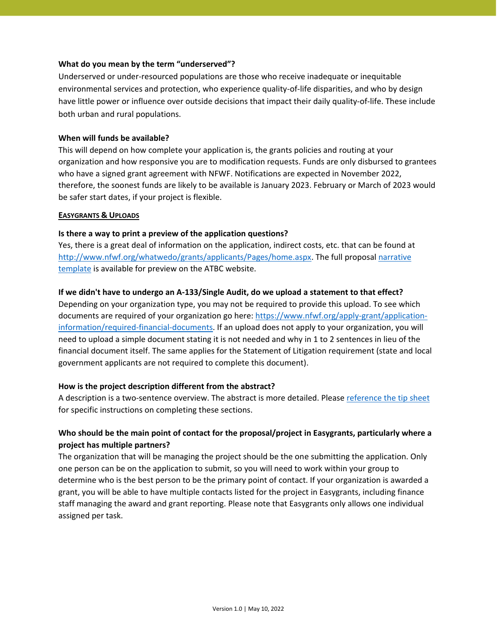### **What do you mean by the term "underserved"?**

Underserved or under-resourced populations are those who receive inadequate or inequitable environmental services and protection, who experience quality-of-life disparities, and who by design have little power or influence over outside decisions that impact their daily quality-of-life. These include both urban and rural populations.

## **When will funds be available?**

This will depend on how complete your application is, the grants policies and routing at your organization and how responsive you are to modification requests. Funds are only disbursed to grantees who have a signed grant agreement with NFWF. Notifications are expected in November 2022, therefore, the soonest funds are likely to be available is January 2023. February or March of 2023 would be safer start dates, if your project is flexible.

### **EASYGRANTS & UPLOADS**

# **Is there a way to print a preview of the application questions?**

Yes, there is a great deal of information on the application, indirect costs, etc. that can be found at [http://www.nfwf.org/whatwedo/grants/applicants/Pages/home.aspx.](http://www.nfwf.org/whatwedo/grants/applicants/Pages/home.aspx) The full proposal [narrative](https://www.nfwf.org/sites/default/files/2022-05/Full_Proposal_Narrative_Template_ATBC2022.doc)  [template](https://www.nfwf.org/sites/default/files/2022-05/Full_Proposal_Narrative_Template_ATBC2022.doc) is available for preview on the ATBC website.

## **If we didn't have to undergo an A-133/Single Audit, do we upload a statement to that effect?**

Depending on your organization type, you may not be required to provide this upload. To see which documents are required of your organization go here: [https://www.nfwf.org/apply-grant/application](https://www.nfwf.org/apply-grant/application-information/required-financial-documents)[information/required-financial-documents.](https://www.nfwf.org/apply-grant/application-information/required-financial-documents) If an upload does not apply to your organization, you will need to upload a simple document stating it is not needed and why in 1 to 2 sentences in lieu of the financial document itself. The same applies for the Statement of Litigation requirement (state and local government applicants are not required to complete this document).

### **How is the project description different from the abstract?**

A description is a two-sentence overview. The abstract is more detailed. Please [reference the tip sheet](https://www.nfwf.org/sites/default/files/2022-05/atbc-2022-tip-sheet.pdf) for specific instructions on completing these sections.

# **Who should be the main point of contact for the proposal/project in Easygrants, particularly where a project has multiple partners?**

The organization that will be managing the project should be the one submitting the application. Only one person can be on the application to submit, so you will need to work within your group to determine who is the best person to be the primary point of contact. If your organization is awarded a grant, you will be able to have multiple contacts listed for the project in Easygrants, including finance staff managing the award and grant reporting. Please note that Easygrants only allows one individual assigned per task.